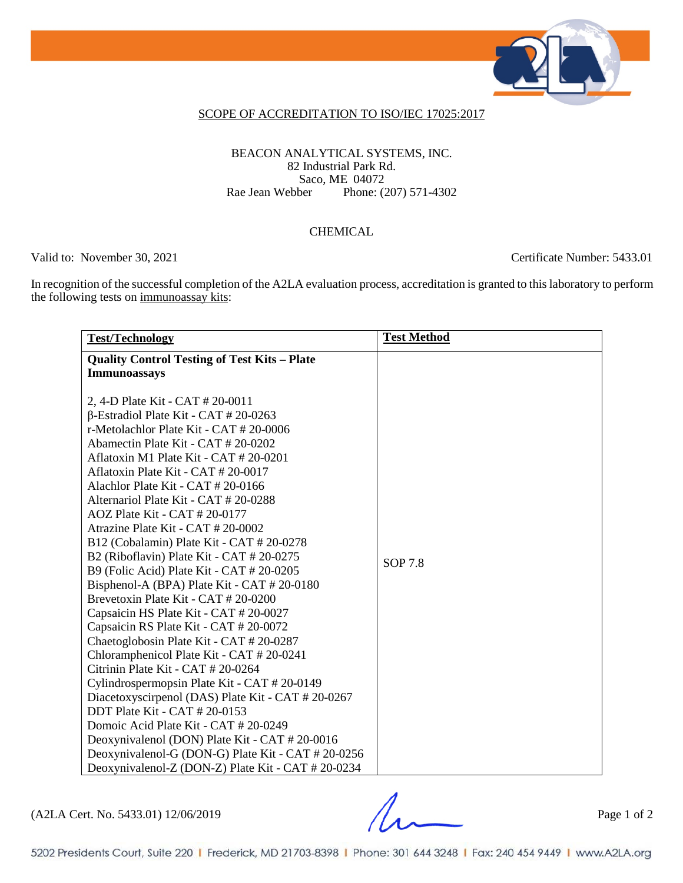

### SCOPE OF ACCREDITATION TO ISO/IEC 17025:2017

### BEACON ANALYTICAL SYSTEMS, INC. 82 Industrial Park Rd. Saco, ME 04072<br>Rae Jean Webber Phone: (2 Phone: (207) 571-4302

#### CHEMICAL

Valid to: November 30, 2021 Certificate Number: 5433.01

In recognition of the successful completion of the A2LA evaluation process, accreditation is granted to this laboratory to perform the following tests on immunoassay kits:

| <b>Test/Technology</b>                              | <b>Test Method</b> |
|-----------------------------------------------------|--------------------|
| <b>Quality Control Testing of Test Kits - Plate</b> |                    |
| <b>Immunoassays</b>                                 |                    |
|                                                     |                    |
| 2, 4-D Plate Kit - CAT # 20-0011                    |                    |
| $\beta$ -Estradiol Plate Kit - CAT # 20-0263        |                    |
| r-Metolachlor Plate Kit - CAT # 20-0006             |                    |
| Abamectin Plate Kit - CAT # 20-0202                 |                    |
| Aflatoxin M1 Plate Kit - CAT # 20-0201              |                    |
| Aflatoxin Plate Kit - CAT # 20-0017                 |                    |
| Alachlor Plate Kit - $CAT # 20-0166$                |                    |
| Alternariol Plate Kit - CAT # 20-0288               |                    |
| $AOZ$ Plate Kit - CAT # 20-0177                     |                    |
| Atrazine Plate Kit - CAT # 20-0002                  |                    |
| B12 (Cobalamin) Plate Kit - CAT # 20-0278           |                    |
| B2 (Riboflavin) Plate Kit - CAT # 20-0275           | SOP 7.8            |
| B9 (Folic Acid) Plate Kit - CAT # 20-0205           |                    |
| Bisphenol-A (BPA) Plate Kit - CAT # 20-0180         |                    |
| Brevetoxin Plate Kit - CAT # 20-0200                |                    |
| Capsaicin HS Plate Kit - CAT # 20-0027              |                    |
| Capsaicin RS Plate Kit - CAT # 20-0072              |                    |
| Chaetoglobosin Plate Kit - CAT # 20-0287            |                    |
| Chloramphenicol Plate Kit - CAT # 20-0241           |                    |
| Citrinin Plate Kit - CAT # 20-0264                  |                    |
| Cylindrospermopsin Plate Kit - CAT # 20-0149        |                    |
| Diacetoxyscirpenol (DAS) Plate Kit - CAT # 20-0267  |                    |
| DDT Plate Kit - CAT # 20-0153                       |                    |
| Domoic Acid Plate Kit - CAT # 20-0249               |                    |
| Deoxynivalenol (DON) Plate Kit - CAT # 20-0016      |                    |
| Deoxynivalenol-G (DON-G) Plate Kit - CAT # 20-0256  |                    |
| Deoxynivalenol-Z (DON-Z) Plate Kit - CAT # 20-0234  |                    |

(A2LA Cert. No. 5433.01) 12/06/2019 Page 1 of 2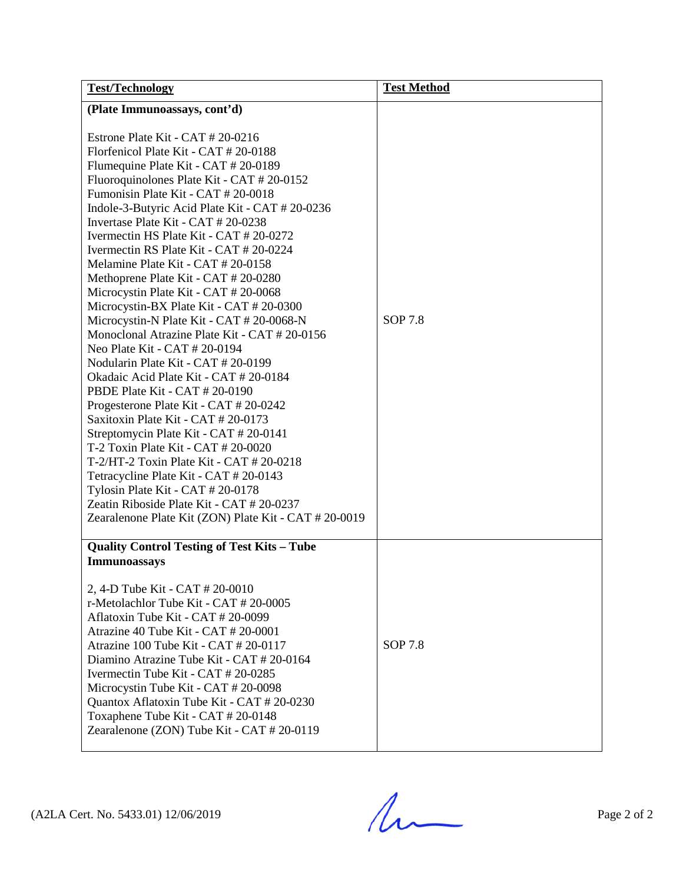| <b>Test/Technology</b>                                                                                                                                                                                                                                                                                                                                                                                                                                                                                                                                                                                                                                                                                                                                                                                                                                                                                                                                                                                                                                                                                                                                                                                            | <b>Test Method</b> |
|-------------------------------------------------------------------------------------------------------------------------------------------------------------------------------------------------------------------------------------------------------------------------------------------------------------------------------------------------------------------------------------------------------------------------------------------------------------------------------------------------------------------------------------------------------------------------------------------------------------------------------------------------------------------------------------------------------------------------------------------------------------------------------------------------------------------------------------------------------------------------------------------------------------------------------------------------------------------------------------------------------------------------------------------------------------------------------------------------------------------------------------------------------------------------------------------------------------------|--------------------|
| (Plate Immunoassays, cont'd)                                                                                                                                                                                                                                                                                                                                                                                                                                                                                                                                                                                                                                                                                                                                                                                                                                                                                                                                                                                                                                                                                                                                                                                      |                    |
| Estrone Plate Kit - CAT # 20-0216<br>Florfenicol Plate Kit - CAT # 20-0188<br>Flumequine Plate Kit - CAT # 20-0189<br>Fluoroquinolones Plate Kit - CAT # 20-0152<br>Fumonisin Plate Kit - CAT # 20-0018<br>Indole-3-Butyric Acid Plate Kit - CAT # 20-0236<br>Invertase Plate Kit - CAT # 20-0238<br>Ivermectin HS Plate Kit - CAT # 20-0272<br>Ivermectin RS Plate Kit - CAT # 20-0224<br>Melamine Plate Kit - CAT # 20-0158<br>Methoprene Plate Kit - CAT # 20-0280<br>Microcystin Plate Kit - CAT # 20-0068<br>Microcystin-BX Plate Kit - CAT # 20-0300<br>Microcystin-N Plate Kit - CAT # 20-0068-N<br>Monoclonal Atrazine Plate Kit - CAT # 20-0156<br>Neo Plate Kit - CAT # 20-0194<br>Nodularin Plate Kit - CAT # 20-0199<br>Okadaic Acid Plate Kit - CAT # 20-0184<br>PBDE Plate Kit - CAT # 20-0190<br>Progesterone Plate Kit - CAT # 20-0242<br>Saxitoxin Plate Kit - CAT # 20-0173<br>Streptomycin Plate Kit - CAT # 20-0141<br>T-2 Toxin Plate Kit - CAT # 20-0020<br>T-2/HT-2 Toxin Plate Kit - CAT $# 20-0218$<br>Tetracycline Plate Kit - CAT # 20-0143<br>Tylosin Plate Kit - CAT # 20-0178<br>Zeatin Riboside Plate Kit - CAT # 20-0237<br>Zearalenone Plate Kit (ZON) Plate Kit - CAT # 20-0019 | <b>SOP 7.8</b>     |
| <b>Quality Control Testing of Test Kits - Tube</b><br>Immunoassays<br>2, 4-D Tube Kit - CAT # 20-0010<br>r-Metolachlor Tube Kit - CAT # 20-0005<br>Aflatoxin Tube Kit - CAT # 20-0099<br>Atrazine 40 Tube Kit - CAT # 20-0001<br>Atrazine 100 Tube Kit - CAT # 20-0117<br>Diamino Atrazine Tube Kit - CAT # 20-0164<br>Ivermectin Tube Kit - CAT # 20-0285<br>Microcystin Tube Kit - CAT # 20-0098<br>Quantox Aflatoxin Tube Kit - CAT # 20-0230<br>Toxaphene Tube Kit - CAT # 20-0148<br>Zearalenone (ZON) Tube Kit - CAT # 20-0119                                                                                                                                                                                                                                                                                                                                                                                                                                                                                                                                                                                                                                                                              | SOP 7.8            |

 $(A2LA$  Cert. No. 5433.01) 12/06/2019 Page 2 of 2